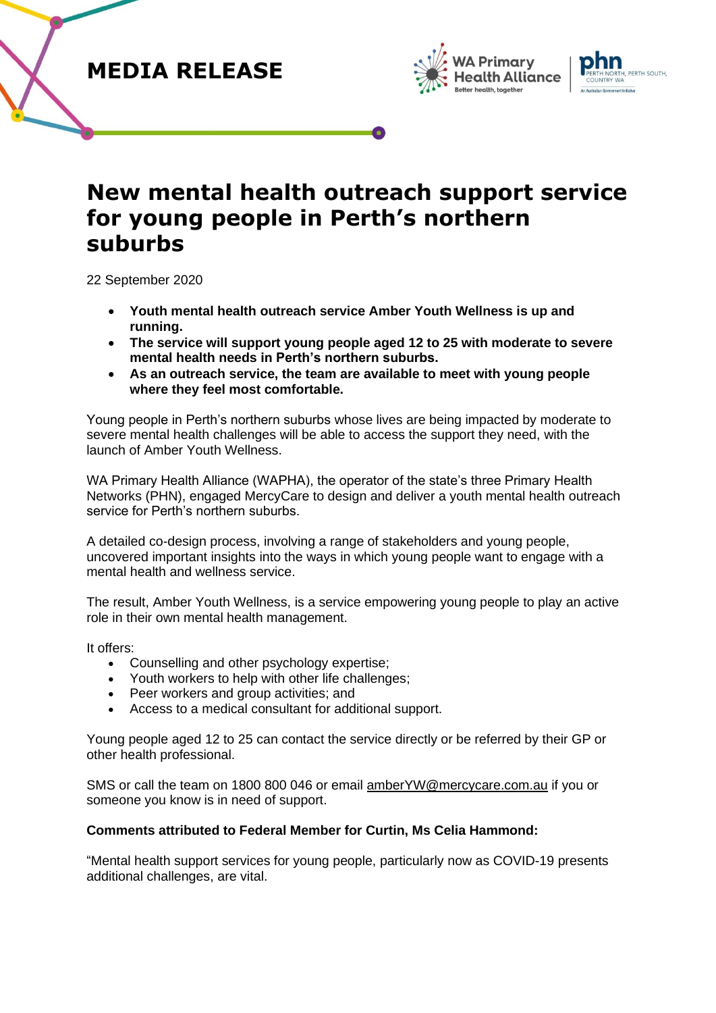**MEDIA RELEASE**





# **New mental health outreach support service for young people in Perth's northern suburbs**

22 September 2020

- **Youth mental health outreach service Amber Youth Wellness is up and running.**
- **The service will support young people aged 12 to 25 with moderate to severe mental health needs in Perth's northern suburbs.**
- **As an outreach service, the team are available to meet with young people where they feel most comfortable.**

Young people in Perth's northern suburbs whose lives are being impacted by moderate to severe mental health challenges will be able to access the support they need, with the launch of Amber Youth Wellness.

WA Primary Health Alliance (WAPHA), the operator of the state's three Primary Health Networks (PHN), engaged MercyCare to design and deliver a youth mental health outreach service for Perth's northern suburbs.

A detailed co-design process, involving a range of stakeholders and young people, uncovered important insights into the ways in which young people want to engage with a mental health and wellness service.

The result, Amber Youth Wellness, is a service empowering young people to play an active role in their own mental health management.

It offers:

- Counselling and other psychology expertise;
- Youth workers to help with other life challenges;
- Peer workers and group activities; and
- Access to a medical consultant for additional support.

Young people aged 12 to 25 can contact the service directly or be referred by their GP or other health professional.

SMS or call the team on 1800 800 046 or email [amberYW@mercycare.com.au](mailto:amberYW@mercycare.com.au) if you or someone you know is in need of support.

# **Comments attributed to Federal Member for Curtin, Ms Celia Hammond:**

"Mental health support services for young people, particularly now as COVID-19 presents additional challenges, are vital.